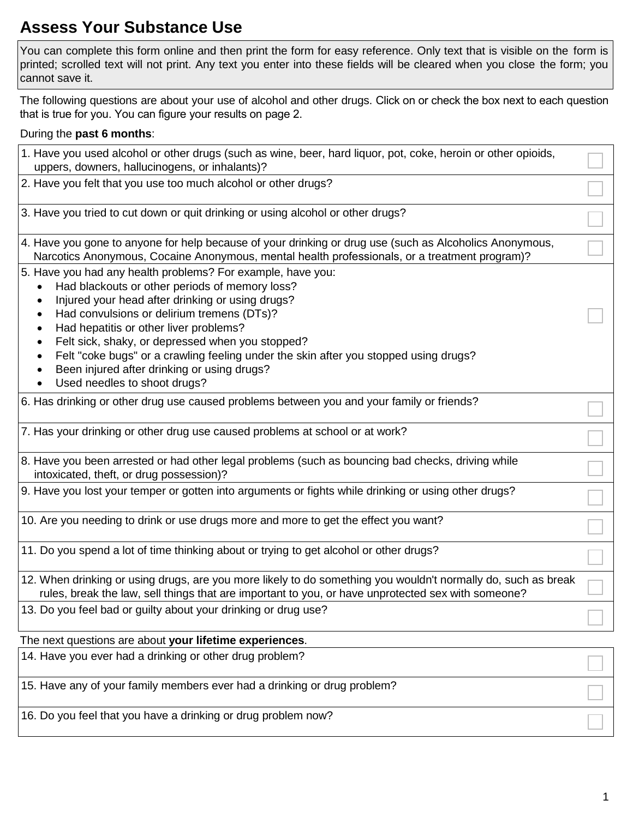# **Assess Your Substance Use**

 You can complete this form online and then print the form for easy reference. Only text that is visible on the form is printed; scrolled text will not print. Any text you enter into these fields will be cleared when you close the form; you cannot save it.

 The following questions are about your use of alcohol and other drugs. Click on or check the box next to each question that is true for you. You can figure your results on page 2.

## During the **past 6 months**:

| 1. Have you used alcohol or other drugs (such as wine, beer, hard liquor, pot, coke, heroin or other opioids,<br>uppers, downers, hallucinogens, or inhalants)?                                                                                                                                                                                                                                                                                                                      |  |
|--------------------------------------------------------------------------------------------------------------------------------------------------------------------------------------------------------------------------------------------------------------------------------------------------------------------------------------------------------------------------------------------------------------------------------------------------------------------------------------|--|
| 2. Have you felt that you use too much alcohol or other drugs?                                                                                                                                                                                                                                                                                                                                                                                                                       |  |
| 3. Have you tried to cut down or quit drinking or using alcohol or other drugs?                                                                                                                                                                                                                                                                                                                                                                                                      |  |
| 4. Have you gone to anyone for help because of your drinking or drug use (such as Alcoholics Anonymous,<br>Narcotics Anonymous, Cocaine Anonymous, mental health professionals, or a treatment program)?                                                                                                                                                                                                                                                                             |  |
| 5. Have you had any health problems? For example, have you:<br>Had blackouts or other periods of memory loss?<br>Injured your head after drinking or using drugs?<br>Had convulsions or delirium tremens (DTs)?<br>Had hepatitis or other liver problems?<br>Felt sick, shaky, or depressed when you stopped?<br>Felt "coke bugs" or a crawling feeling under the skin after you stopped using drugs?<br>Been injured after drinking or using drugs?<br>Used needles to shoot drugs? |  |
| 6. Has drinking or other drug use caused problems between you and your family or friends?                                                                                                                                                                                                                                                                                                                                                                                            |  |
| 7. Has your drinking or other drug use caused problems at school or at work?                                                                                                                                                                                                                                                                                                                                                                                                         |  |
| 8. Have you been arrested or had other legal problems (such as bouncing bad checks, driving while<br>intoxicated, theft, or drug possession)?                                                                                                                                                                                                                                                                                                                                        |  |
| 9. Have you lost your temper or gotten into arguments or fights while drinking or using other drugs?                                                                                                                                                                                                                                                                                                                                                                                 |  |
| 10. Are you needing to drink or use drugs more and more to get the effect you want?                                                                                                                                                                                                                                                                                                                                                                                                  |  |
| 11. Do you spend a lot of time thinking about or trying to get alcohol or other drugs?                                                                                                                                                                                                                                                                                                                                                                                               |  |
| 12. When drinking or using drugs, are you more likely to do something you wouldn't normally do, such as break<br>rules, break the law, sell things that are important to you, or have unprotected sex with someone?                                                                                                                                                                                                                                                                  |  |
| 13. Do you feel bad or guilty about your drinking or drug use?                                                                                                                                                                                                                                                                                                                                                                                                                       |  |
| The next questions are about your lifetime experiences.                                                                                                                                                                                                                                                                                                                                                                                                                              |  |

15. Have any of your family members ever had a drinking or drug problem?

16. Do you feel that you have a drinking or drug problem now?

14. Have you ever had a drinking or other drug problem?